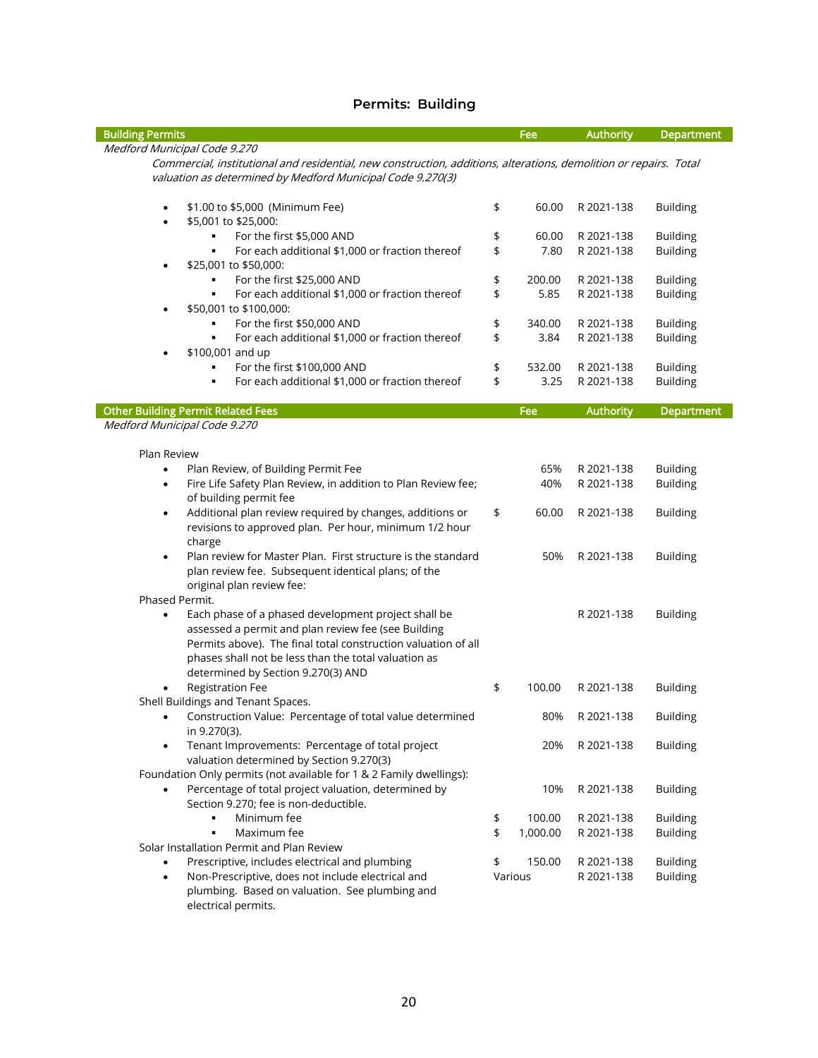#### **Permits: Building**

| <b>Building Permits</b>                                                                                                                                                                                                                                                                | Fee            | <b>Authority</b> | <b>Department</b> |
|----------------------------------------------------------------------------------------------------------------------------------------------------------------------------------------------------------------------------------------------------------------------------------------|----------------|------------------|-------------------|
| Medford Municipal Code 9.270                                                                                                                                                                                                                                                           |                |                  |                   |
| Commercial, institutional and residential, new construction, additions, alterations, demolition or repairs. Total<br>valuation as determined by Medford Municipal Code 9.270(3)                                                                                                        |                |                  |                   |
| \$1.00 to \$5,000 (Minimum Fee)<br>$\bullet$<br>\$5,001 to \$25,000:<br>٠                                                                                                                                                                                                              | \$<br>60.00    | R 2021-138       | <b>Building</b>   |
| For the first \$5,000 AND                                                                                                                                                                                                                                                              | \$<br>60.00    | R 2021-138       | <b>Building</b>   |
| For each additional \$1,000 or fraction thereof<br>٠                                                                                                                                                                                                                                   | \$<br>7.80     | R 2021-138       | <b>Building</b>   |
| \$25,001 to \$50,000:<br>$\bullet$                                                                                                                                                                                                                                                     |                |                  |                   |
| For the first \$25,000 AND<br>٠                                                                                                                                                                                                                                                        | \$<br>200.00   | R 2021-138       | <b>Building</b>   |
| For each additional \$1,000 or fraction thereof<br>٠<br>\$50,001 to \$100,000:<br>$\bullet$                                                                                                                                                                                            | \$<br>5.85     | R 2021-138       | <b>Building</b>   |
| For the first \$50,000 AND                                                                                                                                                                                                                                                             | \$<br>340.00   | R 2021-138       | <b>Building</b>   |
| For each additional \$1,000 or fraction thereof<br>٠<br>\$100,001 and up<br>٠                                                                                                                                                                                                          | \$<br>3.84     | R 2021-138       | <b>Building</b>   |
| For the first \$100,000 AND                                                                                                                                                                                                                                                            | \$<br>532.00   | R 2021-138       | <b>Building</b>   |
| For each additional \$1,000 or fraction thereof<br>٠                                                                                                                                                                                                                                   | \$<br>3.25     | R 2021-138       | <b>Building</b>   |
|                                                                                                                                                                                                                                                                                        |                |                  |                   |
| <b>Other Building Permit Related Fees</b>                                                                                                                                                                                                                                              | Fee            | <b>Authority</b> | <b>Department</b> |
| Medford Municipal Code 9.270                                                                                                                                                                                                                                                           |                |                  |                   |
| Plan Review                                                                                                                                                                                                                                                                            |                |                  |                   |
| Plan Review, of Building Permit Fee<br>$\bullet$                                                                                                                                                                                                                                       | 65%            | R 2021-138       | <b>Building</b>   |
| Fire Life Safety Plan Review, in addition to Plan Review fee;<br>$\bullet$                                                                                                                                                                                                             | 40%            | R 2021-138       | <b>Building</b>   |
| of building permit fee                                                                                                                                                                                                                                                                 |                |                  |                   |
| Additional plan review required by changes, additions or<br>$\bullet$<br>revisions to approved plan. Per hour, minimum 1/2 hour<br>charge                                                                                                                                              | \$<br>60.00    | R 2021-138       | <b>Building</b>   |
| Plan review for Master Plan. First structure is the standard<br>$\bullet$                                                                                                                                                                                                              | 50%            | R 2021-138       | <b>Building</b>   |
| plan review fee. Subsequent identical plans; of the<br>original plan review fee:                                                                                                                                                                                                       |                |                  |                   |
| Phased Permit.                                                                                                                                                                                                                                                                         |                |                  |                   |
| Each phase of a phased development project shall be<br>$\bullet$<br>assessed a permit and plan review fee (see Building<br>Permits above). The final total construction valuation of all<br>phases shall not be less than the total valuation as<br>determined by Section 9.270(3) AND |                | R 2021-138       | <b>Building</b>   |
| <b>Registration Fee</b>                                                                                                                                                                                                                                                                | \$<br>100.00   | R 2021-138       | <b>Building</b>   |
| Shell Buildings and Tenant Spaces.<br>Construction Value: Percentage of total value determined<br>٠<br>in 9.270(3).                                                                                                                                                                    | 80%            | R 2021-138       | <b>Building</b>   |
| Tenant Improvements: Percentage of total project<br>valuation determined by Section 9.270(3)                                                                                                                                                                                           | 20%            | R 2021-138       | <b>Building</b>   |
| Foundation Only permits (not available for 1 & 2 Family dwellings):                                                                                                                                                                                                                    |                |                  |                   |
| Percentage of total project valuation, determined by<br>٠<br>Section 9.270; fee is non-deductible.                                                                                                                                                                                     | 10%            | R 2021-138       | <b>Building</b>   |
| Minimum fee<br>٠                                                                                                                                                                                                                                                                       | \$<br>100.00   | R 2021-138       | <b>Building</b>   |
| Maximum fee                                                                                                                                                                                                                                                                            | \$<br>1,000.00 | R 2021-138       | <b>Building</b>   |
| Solar Installation Permit and Plan Review                                                                                                                                                                                                                                              |                |                  |                   |
| Prescriptive, includes electrical and plumbing                                                                                                                                                                                                                                         | \$<br>150.00   | R 2021-138       | <b>Building</b>   |
| Non-Prescriptive, does not include electrical and<br>$\bullet$<br>plumbing. Based on valuation. See plumbing and<br>electrical permits.                                                                                                                                                | Various        | R 2021-138       | <b>Building</b>   |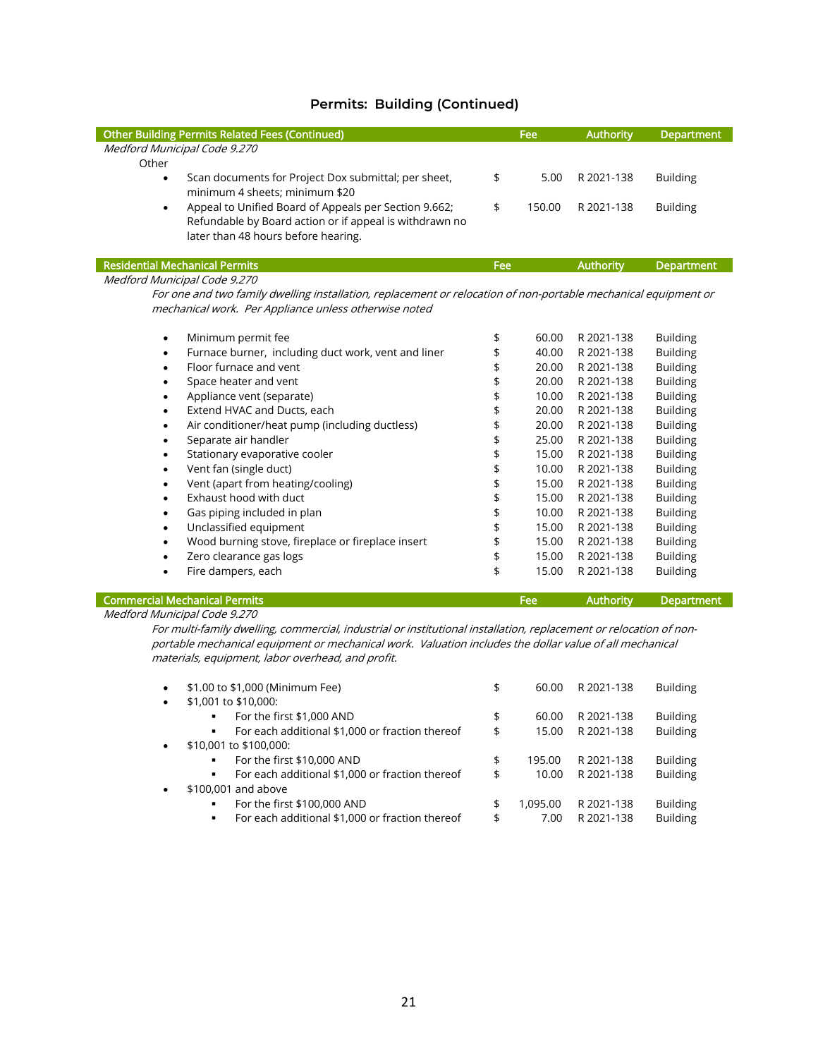| <b>Other Building Permits Related Fees (Continued)</b>                                                          |     | Fee    | <b>Authority</b> | <b>Department</b> |
|-----------------------------------------------------------------------------------------------------------------|-----|--------|------------------|-------------------|
| Medford Municipal Code 9.270                                                                                    |     |        |                  |                   |
| Other                                                                                                           |     |        |                  |                   |
| Scan documents for Project Dox submittal; per sheet,<br>$\bullet$                                               | \$  | 5.00   | R 2021-138       | <b>Building</b>   |
| minimum 4 sheets; minimum \$20                                                                                  |     |        |                  |                   |
| Appeal to Unified Board of Appeals per Section 9.662;<br>$\bullet$                                              | \$  | 150.00 | R 2021-138       | <b>Building</b>   |
| Refundable by Board action or if appeal is withdrawn no                                                         |     |        |                  |                   |
| later than 48 hours before hearing.                                                                             |     |        |                  |                   |
|                                                                                                                 |     |        |                  |                   |
| <b>Residential Mechanical Permits</b>                                                                           | Fee |        | <b>Authority</b> | <b>Department</b> |
| Medford Municipal Code 9.270                                                                                    |     |        |                  |                   |
| For one and two family dwelling installation, replacement or relocation of non-portable mechanical equipment or |     |        |                  |                   |
| mechanical work. Per Appliance unless otherwise noted                                                           |     |        |                  |                   |
|                                                                                                                 |     |        |                  |                   |
| Minimum permit fee<br>$\bullet$                                                                                 | \$  | 60.00  | R 2021-138       | <b>Building</b>   |
| Furnace burner, including duct work, vent and liner<br>$\bullet$                                                | \$  | 40.00  | R 2021-138       | <b>Building</b>   |
| Floor furnace and vent<br>$\bullet$                                                                             | \$  | 20.00  | R 2021-138       | <b>Building</b>   |
| Space heater and vent                                                                                           | \$  | 20.00  | R 2021-138       | <b>Building</b>   |
| Appliance vent (separate)<br>$\bullet$                                                                          | \$  | 10.00  | R 2021-138       | <b>Building</b>   |
| Extend HVAC and Ducts, each<br>$\bullet$                                                                        | \$  | 20.00  | R 2021-138       | <b>Building</b>   |
| Air conditioner/heat pump (including ductless)<br>$\bullet$                                                     | \$  | 20.00  | R 2021-138       | <b>Building</b>   |
| Separate air handler<br>٠                                                                                       | \$  | 25.00  | R 2021-138       | <b>Building</b>   |
| Stationary evaporative cooler<br>٠                                                                              | \$  | 15.00  | R 2021-138       | <b>Building</b>   |
| Vent fan (single duct)<br>$\bullet$                                                                             | \$  | 10.00  | R 2021-138       | <b>Building</b>   |
| Vent (apart from heating/cooling)<br>$\bullet$                                                                  | \$  | 15.00  | R 2021-138       | <b>Building</b>   |
| Exhaust hood with duct                                                                                          | \$  | 15.00  | R 2021-138       | <b>Building</b>   |
| Gas piping included in plan                                                                                     | \$  | 10.00  | R 2021-138       | <b>Building</b>   |
| Unclassified equipment<br>$\bullet$                                                                             | \$  | 15.00  | R 2021-138       | <b>Building</b>   |
| Wood burning stove, fireplace or fireplace insert<br>$\bullet$                                                  | \$  | 15.00  | R 2021-138       | <b>Building</b>   |
| Zero clearance gas logs<br>$\bullet$                                                                            | \$  | 15.00  | R 2021-138       | <b>Building</b>   |
| Fire dampers, each<br>$\bullet$                                                                                 | \$  | 15.00  | R 2021-138       | <b>Building</b>   |
|                                                                                                                 |     |        |                  |                   |

#### **Commercial Mechanical Permits Fee** Authority Department

#### Medford Municipal Code 9.270

For multi-family dwelling, commercial, industrial or institutional installation, replacement or relocation of nonportable mechanical equipment or mechanical work. Valuation includes the dollar value of all mechanical materials, equipment, labor overhead, and profit.

| $\bullet$ | \$1.00 to \$1,000 (Minimum Fee)                                   | \$<br>60.00    | R 2021-138 | <b>Building</b> |
|-----------|-------------------------------------------------------------------|----------------|------------|-----------------|
|           |                                                                   |                |            |                 |
| $\bullet$ | \$1,001 to \$10,000:                                              |                |            |                 |
|           | For the first \$1,000 AND                                         | \$<br>60.00    | R 2021-138 | <b>Building</b> |
|           | For each additional \$1,000 or fraction thereof                   | \$<br>15.00    | R 2021-138 | <b>Building</b> |
| $\bullet$ | \$10,001 to \$100,000:                                            |                |            |                 |
|           | For the first \$10,000 AND                                        | \$<br>195.00   | R 2021-138 | <b>Building</b> |
|           | For each additional \$1,000 or fraction thereof                   | \$<br>10.00    | R 2021-138 | <b>Building</b> |
| $\bullet$ | \$100,001 and above                                               |                |            |                 |
|           | For the first \$100,000 AND                                       | \$<br>1,095.00 | R 2021-138 | <b>Building</b> |
|           | For each additional \$1,000 or fraction thereof<br>$\blacksquare$ | \$<br>7.00     | R 2021-138 | <b>Building</b> |
|           |                                                                   |                |            |                 |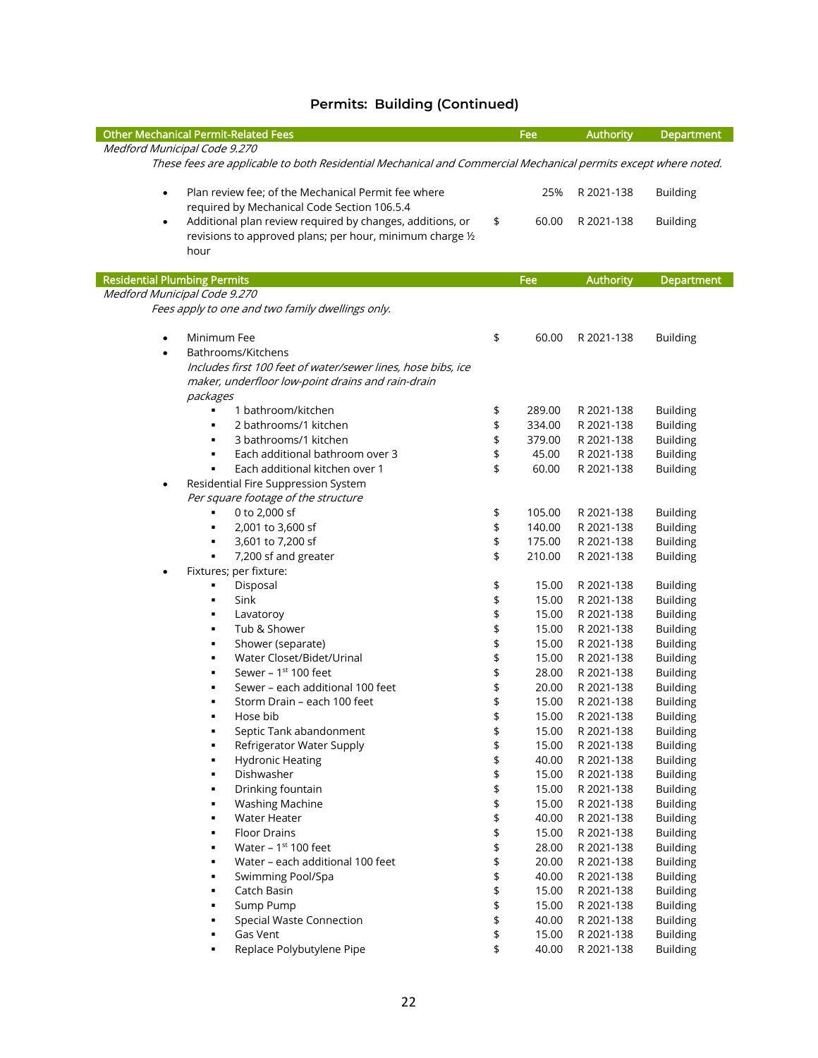| <b>Other Mechanical Permit-Related Fees</b>                                                                                                 |    | Fee    | <b>Authority</b> | Department        |  |  |
|---------------------------------------------------------------------------------------------------------------------------------------------|----|--------|------------------|-------------------|--|--|
| Medford Municipal Code 9.270                                                                                                                |    |        |                  |                   |  |  |
| These fees are applicable to both Residential Mechanical and Commercial Mechanical permits except where noted.                              |    |        |                  |                   |  |  |
| Plan review fee; of the Mechanical Permit fee where<br>$\bullet$<br>required by Mechanical Code Section 106.5.4                             |    | 25%    | R 2021-138       | <b>Building</b>   |  |  |
| Additional plan review required by changes, additions, or<br>$\bullet$<br>revisions to approved plans; per hour, minimum charge 1/2<br>hour | \$ | 60.00  | R 2021-138       | <b>Building</b>   |  |  |
| <b>Residential Plumbing Permits</b>                                                                                                         |    | Fee    | <b>Authority</b> | <b>Department</b> |  |  |
| Medford Municipal Code 9.270                                                                                                                |    |        |                  |                   |  |  |
| Fees apply to one and two family dwellings only.                                                                                            |    |        |                  |                   |  |  |
| Minimum Fee<br>$\bullet$                                                                                                                    | \$ | 60.00  | R 2021-138       | <b>Building</b>   |  |  |
| Bathrooms/Kitchens<br>$\bullet$                                                                                                             |    |        |                  |                   |  |  |
| Includes first 100 feet of water/sewer lines, hose bibs, ice                                                                                |    |        |                  |                   |  |  |
| maker, underfloor low-point drains and rain-drain                                                                                           |    |        |                  |                   |  |  |
| packages                                                                                                                                    |    |        |                  |                   |  |  |
| 1 bathroom/kitchen                                                                                                                          | \$ | 289.00 | R 2021-138       | <b>Building</b>   |  |  |
| 2 bathrooms/1 kitchen<br>$\blacksquare$                                                                                                     | \$ | 334.00 | R 2021-138       | <b>Building</b>   |  |  |
| 3 bathrooms/1 kitchen<br>$\blacksquare$                                                                                                     | \$ | 379.00 | R 2021-138       | <b>Building</b>   |  |  |
| Each additional bathroom over 3<br>$\blacksquare$                                                                                           | \$ | 45.00  | R 2021-138       | <b>Building</b>   |  |  |
| Each additional kitchen over 1                                                                                                              | \$ | 60.00  | R 2021-138       | <b>Building</b>   |  |  |
| Residential Fire Suppression System                                                                                                         |    |        |                  |                   |  |  |
| Per square footage of the structure                                                                                                         |    |        |                  |                   |  |  |
| 0 to 2,000 sf<br>$\blacksquare$                                                                                                             | \$ | 105.00 | R 2021-138       | <b>Building</b>   |  |  |
| 2,001 to 3,600 sf<br>$\blacksquare$                                                                                                         | \$ | 140.00 | R 2021-138       | <b>Building</b>   |  |  |
| 3,601 to 7,200 sf<br>٠                                                                                                                      | \$ | 175.00 | R 2021-138       | <b>Building</b>   |  |  |
| 7,200 sf and greater<br>٠                                                                                                                   | \$ | 210.00 | R 2021-138       | <b>Building</b>   |  |  |
| Fixtures; per fixture:                                                                                                                      |    |        |                  |                   |  |  |
| Disposal<br>٠                                                                                                                               | \$ | 15.00  | R 2021-138       | <b>Building</b>   |  |  |
| Sink<br>$\blacksquare$                                                                                                                      | \$ | 15.00  | R 2021-138       | <b>Building</b>   |  |  |
| Lavatoroy<br>٠                                                                                                                              | \$ | 15.00  | R 2021-138       | <b>Building</b>   |  |  |
| Tub & Shower<br>$\blacksquare$                                                                                                              | \$ | 15.00  | R 2021-138       | <b>Building</b>   |  |  |
| Shower (separate)<br>$\blacksquare$                                                                                                         | \$ | 15.00  | R 2021-138       | <b>Building</b>   |  |  |
| Water Closet/Bidet/Urinal<br>٠                                                                                                              | \$ | 15.00  | R 2021-138       | <b>Building</b>   |  |  |
| Sewer - $1st 100$ feet                                                                                                                      | \$ | 28.00  | R 2021-138       | <b>Building</b>   |  |  |
| Sewer - each additional 100 feet<br>$\blacksquare$                                                                                          | \$ | 20.00  | R 2021-138       | <b>Building</b>   |  |  |
| Storm Drain – each 100 feet                                                                                                                 | \$ | 15.00  | R 2021-138       | <b>Building</b>   |  |  |
| Hose bib<br>٠                                                                                                                               | \$ | 15.00  | R 2021-138       | <b>Building</b>   |  |  |
| Septic Tank abandonment                                                                                                                     | \$ | 15.00  | R 2021-138       | <b>Building</b>   |  |  |
| Refrigerator Water Supply                                                                                                                   | \$ | 15.00  | R 2021-138       | <b>Building</b>   |  |  |
| <b>Hydronic Heating</b>                                                                                                                     | \$ | 40.00  | R 2021-138       | <b>Building</b>   |  |  |
| Dishwasher                                                                                                                                  | \$ | 15.00  | R 2021-138       | <b>Building</b>   |  |  |
| Drinking fountain                                                                                                                           | \$ | 15.00  | R 2021-138       | <b>Building</b>   |  |  |
| <b>Washing Machine</b>                                                                                                                      | \$ | 15.00  | R 2021-138       | <b>Building</b>   |  |  |
| Water Heater                                                                                                                                | \$ | 40.00  | R 2021-138       | <b>Building</b>   |  |  |
| <b>Floor Drains</b><br>$\blacksquare$                                                                                                       | \$ | 15.00  | R 2021-138       | <b>Building</b>   |  |  |
| Water - 1st 100 feet                                                                                                                        | \$ | 28.00  | R 2021-138       | <b>Building</b>   |  |  |
| Water - each additional 100 feet                                                                                                            | \$ | 20.00  | R 2021-138       | <b>Building</b>   |  |  |
| Swimming Pool/Spa                                                                                                                           | \$ | 40.00  | R 2021-138       | <b>Building</b>   |  |  |
| Catch Basin                                                                                                                                 | \$ | 15.00  | R 2021-138       | <b>Building</b>   |  |  |
| Sump Pump<br>٠                                                                                                                              | \$ | 15.00  | R 2021-138       | <b>Building</b>   |  |  |
| Special Waste Connection                                                                                                                    | \$ | 40.00  | R 2021-138       | <b>Building</b>   |  |  |
| Gas Vent                                                                                                                                    | \$ | 15.00  | R 2021-138       | <b>Building</b>   |  |  |
| Replace Polybutylene Pipe                                                                                                                   | \$ | 40.00  | R 2021-138       | <b>Building</b>   |  |  |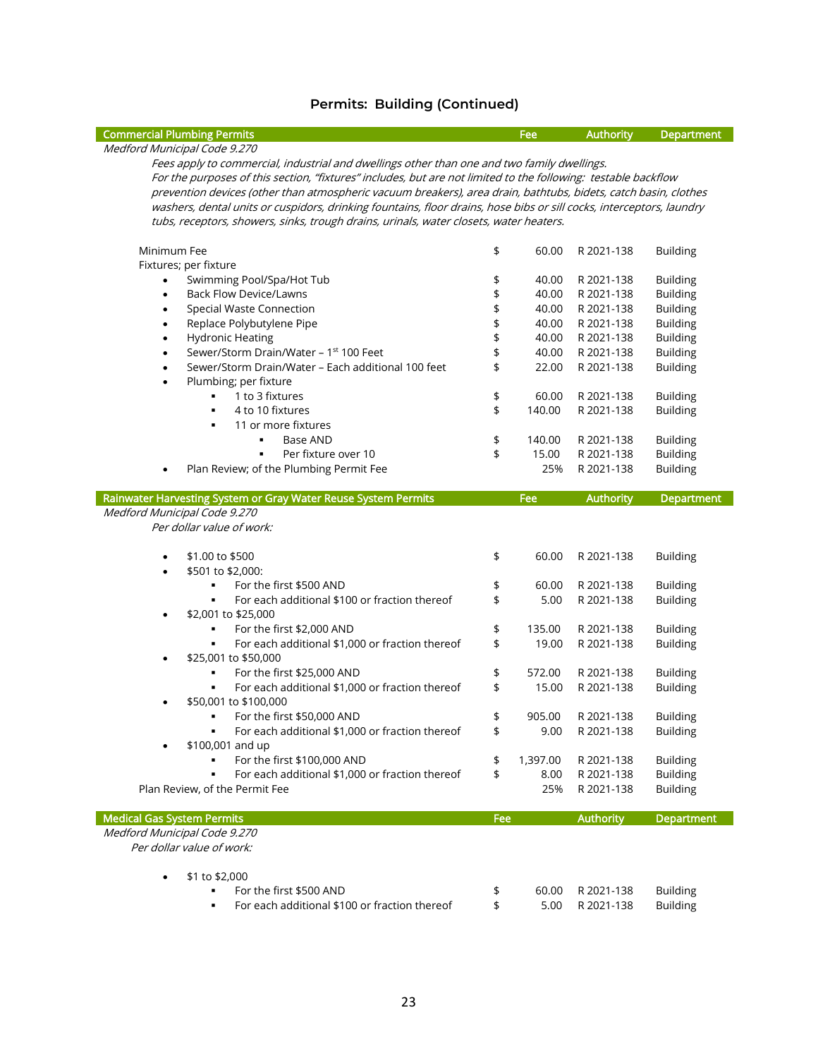| <b>Commercial Plumbing Permits</b>                                                                                   |          | Fee      | <b>Authority</b>         | <b>Department</b>                  |  |
|----------------------------------------------------------------------------------------------------------------------|----------|----------|--------------------------|------------------------------------|--|
| Medford Municipal Code 9.270                                                                                         |          |          |                          |                                    |  |
| Fees apply to commercial, industrial and dwellings other than one and two family dwellings.                          |          |          |                          |                                    |  |
| For the purposes of this section, "fixtures" includes, but are not limited to the following: testable backflow       |          |          |                          |                                    |  |
| prevention devices (other than atmospheric vacuum breakers), area drain, bathtubs, bidets, catch basin, clothes      |          |          |                          |                                    |  |
| washers, dental units or cuspidors, drinking fountains, floor drains, hose bibs or sill cocks, interceptors, laundry |          |          |                          |                                    |  |
| tubs, receptors, showers, sinks, trough drains, urinals, water closets, water heaters.                               |          |          |                          |                                    |  |
|                                                                                                                      |          |          |                          |                                    |  |
| Minimum Fee                                                                                                          | \$       | 60.00    | R 2021-138               | <b>Building</b>                    |  |
| Fixtures; per fixture                                                                                                |          |          |                          |                                    |  |
| Swimming Pool/Spa/Hot Tub<br>$\bullet$                                                                               | \$       | 40.00    | R 2021-138               | <b>Building</b>                    |  |
| <b>Back Flow Device/Lawns</b><br>$\bullet$                                                                           | \$       | 40.00    | R 2021-138               | <b>Building</b>                    |  |
| <b>Special Waste Connection</b><br>$\bullet$                                                                         | \$       | 40.00    | R 2021-138               | <b>Building</b>                    |  |
| Replace Polybutylene Pipe<br>$\bullet$                                                                               | \$       | 40.00    | R 2021-138               | <b>Building</b>                    |  |
| <b>Hydronic Heating</b><br>$\bullet$                                                                                 | \$       | 40.00    | R 2021-138               | <b>Building</b>                    |  |
| Sewer/Storm Drain/Water - 1st 100 Feet<br>$\bullet$                                                                  | \$       | 40.00    | R 2021-138               | <b>Building</b>                    |  |
| Sewer/Storm Drain/Water - Each additional 100 feet<br>$\bullet$                                                      | \$       | 22.00    | R 2021-138               | <b>Building</b>                    |  |
| Plumbing; per fixture<br>$\bullet$                                                                                   |          |          |                          |                                    |  |
| 1 to 3 fixtures                                                                                                      | \$       | 60.00    | R 2021-138               | <b>Building</b>                    |  |
| 4 to 10 fixtures<br>٠                                                                                                | \$       | 140.00   | R 2021-138               | <b>Building</b>                    |  |
| 11 or more fixtures<br>$\blacksquare$                                                                                |          |          |                          |                                    |  |
| Base AND<br>$\blacksquare$                                                                                           | \$       | 140.00   | R 2021-138               | <b>Building</b>                    |  |
| Per fixture over 10<br>٠                                                                                             | \$       | 15.00    | R 2021-138               | <b>Building</b>                    |  |
| Plan Review; of the Plumbing Permit Fee                                                                              |          | 25%      | R 2021-138               | <b>Building</b>                    |  |
|                                                                                                                      |          | Fee      |                          | Department                         |  |
| Rainwater Harvesting System or Gray Water Reuse System Permits<br>Medford Municipal Code 9.270                       |          |          | <b>Authority</b>         |                                    |  |
| Per dollar value of work:                                                                                            |          |          |                          |                                    |  |
|                                                                                                                      |          |          |                          |                                    |  |
| \$1.00 to \$500                                                                                                      | \$       | 60.00    | R 2021-138               | <b>Building</b>                    |  |
| \$501 to \$2,000:<br>$\bullet$                                                                                       |          |          |                          |                                    |  |
| For the first \$500 AND<br>$\blacksquare$                                                                            | \$       | 60.00    | R 2021-138               | <b>Building</b>                    |  |
| For each additional \$100 or fraction thereof<br>٠                                                                   | \$       | 5.00     | R 2021-138               | <b>Building</b>                    |  |
| \$2,001 to \$25,000<br>٠                                                                                             |          |          |                          |                                    |  |
| For the first \$2,000 AND                                                                                            | \$       | 135.00   | R 2021-138               | <b>Building</b>                    |  |
| For each additional \$1,000 or fraction thereof                                                                      | \$       | 19.00    | R 2021-138               | <b>Building</b>                    |  |
| \$25,001 to \$50,000<br>٠                                                                                            |          |          |                          |                                    |  |
| For the first \$25,000 AND<br>٠                                                                                      | \$       | 572.00   | R 2021-138               | <b>Building</b>                    |  |
| For each additional \$1,000 or fraction thereof                                                                      | \$       | 15.00    | R 2021-138               | <b>Building</b>                    |  |
| \$50,001 to \$100,000                                                                                                |          |          |                          |                                    |  |
| For the first \$50,000 AND<br>$\blacksquare$                                                                         | \$       | 905.00   | R 2021-138               | <b>Building</b>                    |  |
| For each additional \$1,000 or fraction thereof                                                                      | \$       | 9.00     | R 2021-138               | <b>Building</b>                    |  |
| \$100,001 and up                                                                                                     |          |          |                          |                                    |  |
| For the first \$100,000 AND                                                                                          | \$       | 1,397.00 | R 2021-138               | <b>Building</b>                    |  |
| For each additional \$1,000 or fraction thereof                                                                      | \$       | 8.00     | R 2021-138               | <b>Building</b>                    |  |
| Plan Review, of the Permit Fee                                                                                       |          | 25%      | R 2021-138               | <b>Building</b>                    |  |
|                                                                                                                      |          |          |                          |                                    |  |
| <b>Medical Gas System Permits</b>                                                                                    | Fee      |          | <b>Authority</b>         | <b>Department</b>                  |  |
| Medford Municipal Code 9.270                                                                                         |          |          |                          |                                    |  |
| Per dollar value of work:                                                                                            |          |          |                          |                                    |  |
|                                                                                                                      |          |          |                          |                                    |  |
| \$1 to \$2,000<br>٠<br>For the first \$500 AND                                                                       |          | 60.00    |                          |                                    |  |
| For each additional \$100 or fraction thereof                                                                        | \$<br>\$ | 5.00     | R 2021-138<br>R 2021-138 | <b>Building</b><br><b>Building</b> |  |
|                                                                                                                      |          |          |                          |                                    |  |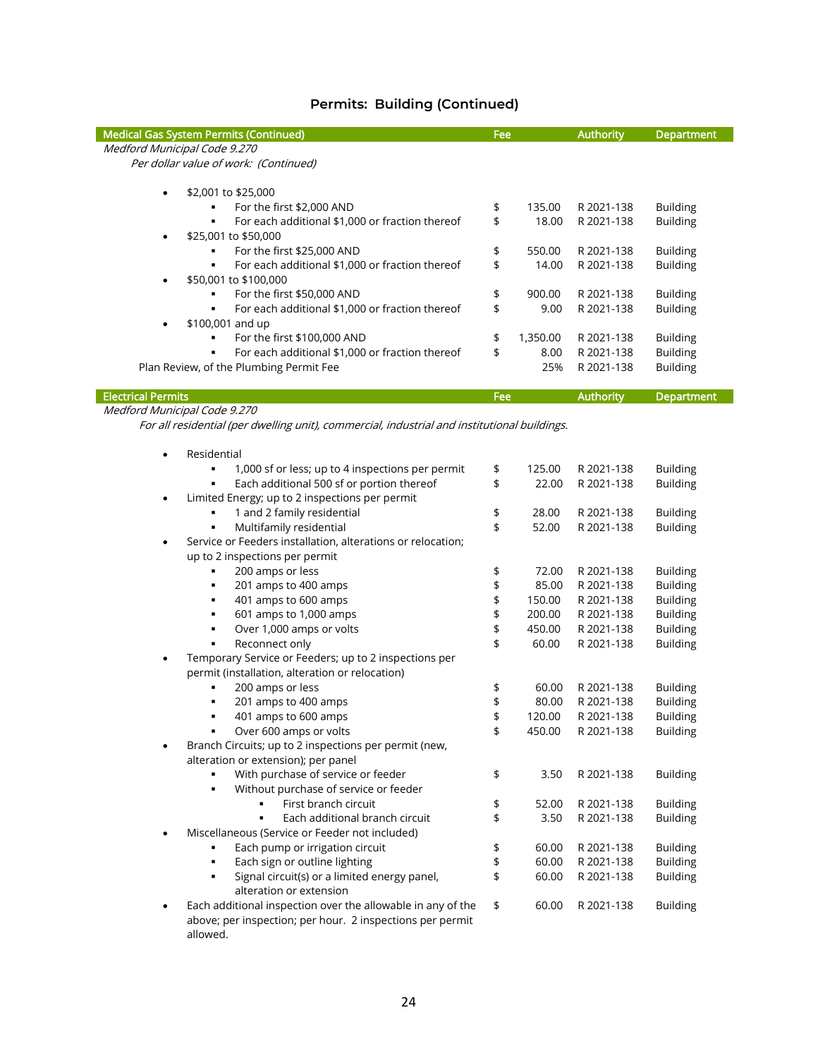| <b>Medical Gas System Permits (Continued)</b>                                                | Fee      |                 | <b>Authority</b>         | <b>Department</b>                  |
|----------------------------------------------------------------------------------------------|----------|-----------------|--------------------------|------------------------------------|
| Medford Municipal Code 9.270                                                                 |          |                 |                          |                                    |
| Per dollar value of work: (Continued)                                                        |          |                 |                          |                                    |
|                                                                                              |          |                 |                          |                                    |
| \$2,001 to \$25,000<br>$\bullet$<br>For the first \$2,000 AND                                |          | 135.00          | R 2021-138               | <b>Building</b>                    |
| $\blacksquare$                                                                               | \$<br>\$ |                 |                          |                                    |
| For each additional \$1,000 or fraction thereof<br>\$25,001 to \$50,000                      |          | 18.00           | R 2021-138               | <b>Building</b>                    |
| For the first \$25,000 AND<br>٠                                                              |          | 550.00          | R 2021-138               |                                    |
| For each additional \$1,000 or fraction thereof<br>٠                                         | \$<br>\$ | 14.00           | R 2021-138               | <b>Building</b><br><b>Building</b> |
| \$50,001 to \$100,000                                                                        |          |                 |                          |                                    |
| For the first \$50,000 AND<br>$\blacksquare$                                                 | \$       | 900.00          | R 2021-138               | <b>Building</b>                    |
| For each additional \$1,000 or fraction thereof<br>$\blacksquare$                            | \$       | 9.00            | R 2021-138               | <b>Building</b>                    |
| \$100,001 and up                                                                             |          |                 |                          |                                    |
| For the first \$100,000 AND<br>٠                                                             | \$       | 1,350.00        | R 2021-138               | <b>Building</b>                    |
| For each additional \$1,000 or fraction thereof                                              | \$       | 8.00            | R 2021-138               | <b>Building</b>                    |
| Plan Review, of the Plumbing Permit Fee                                                      |          | 25%             | R 2021-138               | <b>Building</b>                    |
|                                                                                              |          |                 |                          |                                    |
| <b>Electrical Permits</b>                                                                    | Fee      |                 | <b>Authority</b>         | Department                         |
| Medford Municipal Code 9.270                                                                 |          |                 |                          |                                    |
| For all residential (per dwelling unit), commercial, industrial and institutional buildings. |          |                 |                          |                                    |
|                                                                                              |          |                 |                          |                                    |
| Residential<br>$\bullet$                                                                     |          |                 |                          |                                    |
| $\blacksquare$<br>1,000 sf or less; up to 4 inspections per permit                           | \$       | 125.00          | R 2021-138               | <b>Building</b>                    |
| Each additional 500 sf or portion thereof<br>٠                                               | \$       | 22.00           | R 2021-138               | <b>Building</b>                    |
| Limited Energy; up to 2 inspections per permit<br>$\bullet$                                  |          |                 |                          |                                    |
| 1 and 2 family residential                                                                   | \$       | 28.00           | R 2021-138               | <b>Building</b>                    |
| Multifamily residential<br>$\blacksquare$                                                    | \$       | 52.00           | R 2021-138               | <b>Building</b>                    |
| Service or Feeders installation, alterations or relocation;<br>$\bullet$                     |          |                 |                          |                                    |
| up to 2 inspections per permit                                                               |          |                 |                          |                                    |
| 200 amps or less<br>٠                                                                        | \$       | 72.00           | R 2021-138               | <b>Building</b>                    |
| 201 amps to 400 amps<br>٠<br>401 amps to 600 amps<br>٠                                       | \$<br>\$ | 85.00<br>150.00 | R 2021-138<br>R 2021-138 | <b>Building</b><br><b>Building</b> |
| 601 amps to 1,000 amps<br>٠                                                                  | \$       | 200.00          | R 2021-138               | <b>Building</b>                    |
| Over 1,000 amps or volts<br>$\blacksquare$                                                   | \$       | 450.00          | R 2021-138               | <b>Building</b>                    |
| Reconnect only<br>٠                                                                          | \$       | 60.00           | R 2021-138               | <b>Building</b>                    |
| Temporary Service or Feeders; up to 2 inspections per<br>٠                                   |          |                 |                          |                                    |
| permit (installation, alteration or relocation)                                              |          |                 |                          |                                    |
| 200 amps or less                                                                             | \$       | 60.00           | R 2021-138               | <b>Building</b>                    |
| 201 amps to 400 amps                                                                         | \$       | 80.00           | R 2021-138               | <b>Building</b>                    |
| 401 amps to 600 amps                                                                         | \$       | 120.00          | R 2021-138               | <b>Building</b>                    |
| Over 600 amps or volts                                                                       | \$       | 450.00          | R 2021-138               | <b>Building</b>                    |
| Branch Circuits; up to 2 inspections per permit (new,                                        |          |                 |                          |                                    |
| alteration or extension); per panel                                                          |          |                 |                          |                                    |
| With purchase of service or feeder<br>٠                                                      | \$       | 3.50            | R 2021-138               | <b>Building</b>                    |
| Without purchase of service or feeder<br>$\blacksquare$                                      |          |                 |                          |                                    |
| First branch circuit                                                                         | \$       | 52.00           | R 2021-138               | <b>Building</b>                    |
| Each additional branch circuit                                                               | \$       | 3.50            | R 2021-138               | <b>Building</b>                    |
| Miscellaneous (Service or Feeder not included)                                               |          |                 |                          |                                    |
| Each pump or irrigation circuit                                                              | \$       | 60.00           | R 2021-138               | <b>Building</b>                    |
| Each sign or outline lighting<br>$\blacksquare$                                              | \$       | 60.00           | R 2021-138               | <b>Building</b>                    |
| Signal circuit(s) or a limited energy panel,<br>$\blacksquare$                               | \$       | 60.00           | R 2021-138               | <b>Building</b>                    |
| alteration or extension                                                                      |          |                 |                          |                                    |
| Each additional inspection over the allowable in any of the                                  | \$       | 60.00           | R 2021-138               | <b>Building</b>                    |
| above; per inspection; per hour. 2 inspections per permit                                    |          |                 |                          |                                    |

above; p<br>allowed.